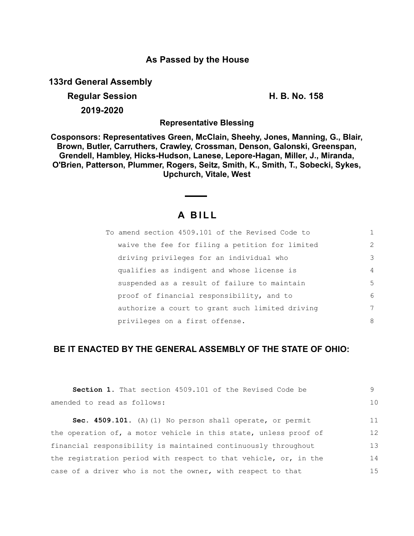## **As Passed by the House**

**133rd General Assembly**

**Regular Session H. B. No. 158 2019-2020**

**Representative Blessing**

**Cosponsors: Representatives Green, McClain, Sheehy, Jones, Manning, G., Blair, Brown, Butler, Carruthers, Crawley, Crossman, Denson, Galonski, Greenspan, Grendell, Hambley, Hicks-Hudson, Lanese, Lepore-Hagan, Miller, J., Miranda, O'Brien, Patterson, Plummer, Rogers, Seitz, Smith, K., Smith, T., Sobecki, Sykes, Upchurch, Vitale, West**

# **A B I L L**

| To amend section 4509.101 of the Revised Code to |                |
|--------------------------------------------------|----------------|
| waive the fee for filing a petition for limited  | $\mathcal{L}$  |
| driving privileges for an individual who         | 3              |
| qualifies as indigent and whose license is       | $\overline{4}$ |
| suspended as a result of failure to maintain     | 5              |
| proof of financial responsibility, and to        | 6              |
| authorize a court to grant such limited driving  | 7              |
| privileges on a first offense.                   | 8              |

## **BE IT ENACTED BY THE GENERAL ASSEMBLY OF THE STATE OF OHIO:**

| <b>Section 1.</b> That section 4509.101 of the Revised Code be   | 9  |
|------------------------------------------------------------------|----|
| amended to read as follows:                                      | 10 |
| Sec. 4509.101. (A) (1) No person shall operate, or permit        | 11 |
| the operation of, a motor vehicle in this state, unless proof of | 12 |
| financial responsibility is maintained continuously throughout   | 13 |
| the registration period with respect to that vehicle, or, in the | 14 |
| case of a driver who is not the owner, with respect to that      | 15 |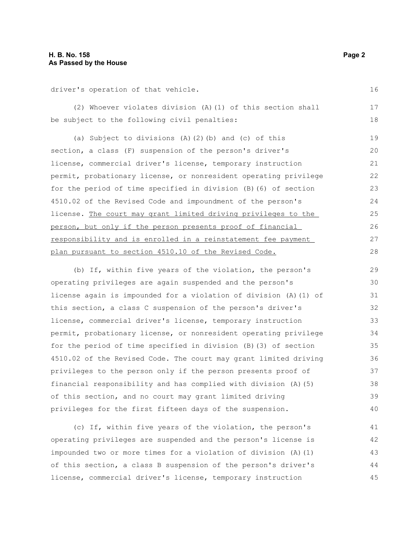driver's operation of that vehicle.

(2) Whoever violates division (A)(1) of this section shall be subject to the following civil penalties: 17 18

(a) Subject to divisions (A)(2)(b) and (c) of this section, a class (F) suspension of the person's driver's license, commercial driver's license, temporary instruction permit, probationary license, or nonresident operating privilege for the period of time specified in division (B)(6) of section 4510.02 of the Revised Code and impoundment of the person's license. The court may grant limited driving privileges to the person, but only if the person presents proof of financial responsibility and is enrolled in a reinstatement fee payment plan pursuant to section 4510.10 of the Revised Code. 19  $20$ 21 22 23 24 25 26 27 28

(b) If, within five years of the violation, the person's operating privileges are again suspended and the person's license again is impounded for a violation of division (A)(1) of this section, a class C suspension of the person's driver's license, commercial driver's license, temporary instruction permit, probationary license, or nonresident operating privilege for the period of time specified in division (B)(3) of section 4510.02 of the Revised Code. The court may grant limited driving privileges to the person only if the person presents proof of financial responsibility and has complied with division (A)(5) of this section, and no court may grant limited driving privileges for the first fifteen days of the suspension. 29 30 31 32 33 34 35 36 37 38 39 40

(c) If, within five years of the violation, the person's operating privileges are suspended and the person's license is impounded two or more times for a violation of division (A)(1) of this section, a class B suspension of the person's driver's license, commercial driver's license, temporary instruction 41 42 43 44 45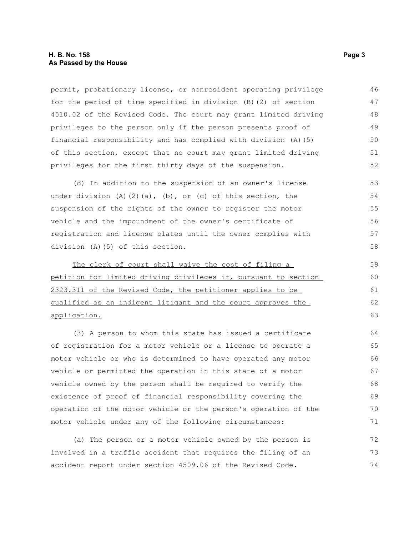### **H. B. No. 158 Page 3 As Passed by the House**

permit, probationary license, or nonresident operating privilege for the period of time specified in division (B)(2) of section 4510.02 of the Revised Code. The court may grant limited driving privileges to the person only if the person presents proof of financial responsibility and has complied with division (A)(5) of this section, except that no court may grant limited driving privileges for the first thirty days of the suspension. 46 47 48 49 50 51 52

(d) In addition to the suspension of an owner's license under division  $(A)$   $(2)$   $(a)$ ,  $(b)$ , or  $(c)$  of this section, the suspension of the rights of the owner to register the motor vehicle and the impoundment of the owner's certificate of registration and license plates until the owner complies with division (A)(5) of this section.

The clerk of court shall waive the cost of filing a petition for limited driving privileges if, pursuant to section 2323.311 of the Revised Code, the petitioner applies to be qualified as an indigent litigant and the court approves the application.

(3) A person to whom this state has issued a certificate of registration for a motor vehicle or a license to operate a motor vehicle or who is determined to have operated any motor vehicle or permitted the operation in this state of a motor vehicle owned by the person shall be required to verify the existence of proof of financial responsibility covering the operation of the motor vehicle or the person's operation of the motor vehicle under any of the following circumstances:

(a) The person or a motor vehicle owned by the person is involved in a traffic accident that requires the filing of an accident report under section 4509.06 of the Revised Code. 72 73 74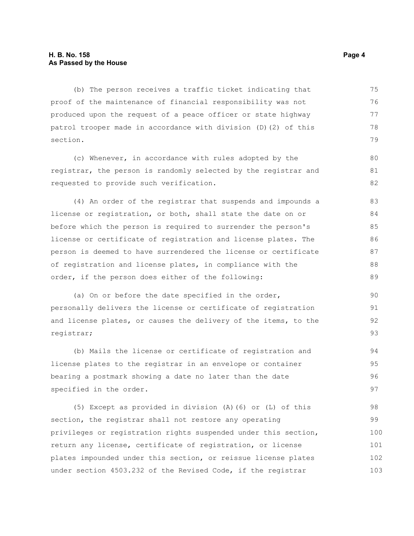#### **H. B. No. 158 Page 4 As Passed by the House**

(b) The person receives a traffic ticket indicating that proof of the maintenance of financial responsibility was not produced upon the request of a peace officer or state highway patrol trooper made in accordance with division (D)(2) of this section. 75 76 77 78 79

(c) Whenever, in accordance with rules adopted by the registrar, the person is randomly selected by the registrar and requested to provide such verification.

(4) An order of the registrar that suspends and impounds a license or registration, or both, shall state the date on or before which the person is required to surrender the person's license or certificate of registration and license plates. The person is deemed to have surrendered the license or certificate of registration and license plates, in compliance with the order, if the person does either of the following: 83 84 85 86 87 88 89

(a) On or before the date specified in the order, personally delivers the license or certificate of registration and license plates, or causes the delivery of the items, to the registrar;

(b) Mails the license or certificate of registration and license plates to the registrar in an envelope or container bearing a postmark showing a date no later than the date specified in the order. 94 95 96 97

(5) Except as provided in division (A)(6) or (L) of this section, the registrar shall not restore any operating privileges or registration rights suspended under this section, return any license, certificate of registration, or license plates impounded under this section, or reissue license plates under section 4503.232 of the Revised Code, if the registrar 98 99 100 101 102 103

80 81 82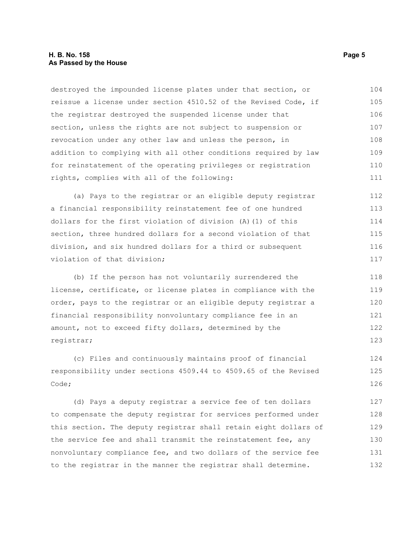### **H. B. No. 158 Page 5 As Passed by the House**

destroyed the impounded license plates under that section, or reissue a license under section 4510.52 of the Revised Code, if the registrar destroyed the suspended license under that section, unless the rights are not subject to suspension or revocation under any other law and unless the person, in addition to complying with all other conditions required by law for reinstatement of the operating privileges or registration rights, complies with all of the following: 104 105 106 107 108 109 110 111

(a) Pays to the registrar or an eligible deputy registrar a financial responsibility reinstatement fee of one hundred dollars for the first violation of division (A)(1) of this section, three hundred dollars for a second violation of that division, and six hundred dollars for a third or subsequent violation of that division; 112 113 114 115 116 117

(b) If the person has not voluntarily surrendered the license, certificate, or license plates in compliance with the order, pays to the registrar or an eligible deputy registrar a financial responsibility nonvoluntary compliance fee in an amount, not to exceed fifty dollars, determined by the registrar; 118 119 120 121 122 123

(c) Files and continuously maintains proof of financial responsibility under sections 4509.44 to 4509.65 of the Revised Code; 124 125 126

(d) Pays a deputy registrar a service fee of ten dollars to compensate the deputy registrar for services performed under this section. The deputy registrar shall retain eight dollars of the service fee and shall transmit the reinstatement fee, any nonvoluntary compliance fee, and two dollars of the service fee to the registrar in the manner the registrar shall determine. 127 128 129 130 131 132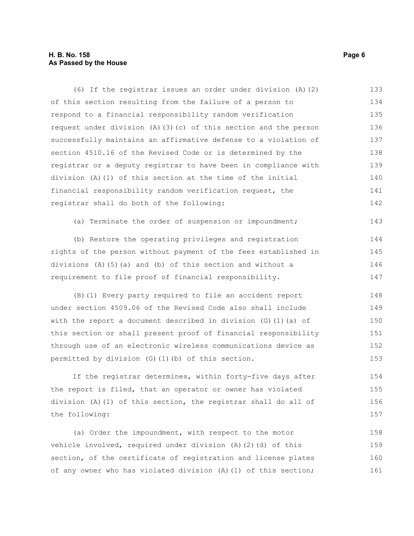### **H. B. No. 158 Page 6 As Passed by the House**

(6) If the registrar issues an order under division (A)(2) of this section resulting from the failure of a person to respond to a financial responsibility random verification request under division  $(A)(3)(c)$  of this section and the person successfully maintains an affirmative defense to a violation of section 4510.16 of the Revised Code or is determined by the registrar or a deputy registrar to have been in compliance with division (A)(1) of this section at the time of the initial financial responsibility random verification request, the registrar shall do both of the following: (a) Terminate the order of suspension or impoundment; (b) Restore the operating privileges and registration rights of the person without payment of the fees established in divisions (A)(5)(a) and (b) of this section and without a requirement to file proof of financial responsibility. (B)(1) Every party required to file an accident report under section 4509.06 of the Revised Code also shall include with the report a document described in division  $(G)$  (1)(a) of this section or shall present proof of financial responsibility through use of an electronic wireless communications device as permitted by division (G)(1)(b) of this section. If the registrar determines, within forty-five days after 133 134 135 136 137 138 139 140 141 142 143 144 145 146 147 148 149 150 151 152 153 154

the report is filed, that an operator or owner has violated division (A)(1) of this section, the registrar shall do all of the following: 155 156 157

(a) Order the impoundment, with respect to the motor vehicle involved, required under division (A)(2)(d) of this section, of the certificate of registration and license plates of any owner who has violated division (A)(1) of this section; 158 159 160 161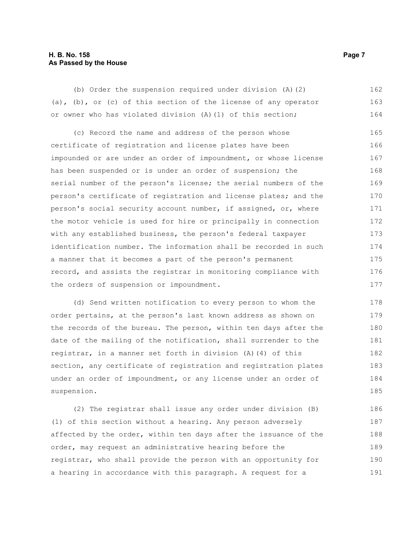### **H. B. No. 158 Page 7 As Passed by the House**

(b) Order the suspension required under division (A)(2) (a), (b), or (c) of this section of the license of any operator or owner who has violated division (A)(1) of this section; 162 163 164

(c) Record the name and address of the person whose certificate of registration and license plates have been impounded or are under an order of impoundment, or whose license has been suspended or is under an order of suspension; the serial number of the person's license; the serial numbers of the person's certificate of registration and license plates; and the person's social security account number, if assigned, or, where the motor vehicle is used for hire or principally in connection with any established business, the person's federal taxpayer identification number. The information shall be recorded in such a manner that it becomes a part of the person's permanent record, and assists the registrar in monitoring compliance with the orders of suspension or impoundment. 165 166 167 168 169 170 171 172 173 174 175 176 177

(d) Send written notification to every person to whom the order pertains, at the person's last known address as shown on the records of the bureau. The person, within ten days after the date of the mailing of the notification, shall surrender to the registrar, in a manner set forth in division (A)(4) of this section, any certificate of registration and registration plates under an order of impoundment, or any license under an order of suspension. 178 179 180 181 182 183 184 185

(2) The registrar shall issue any order under division (B) (1) of this section without a hearing. Any person adversely affected by the order, within ten days after the issuance of the order, may request an administrative hearing before the registrar, who shall provide the person with an opportunity for a hearing in accordance with this paragraph. A request for a 186 187 188 189 190 191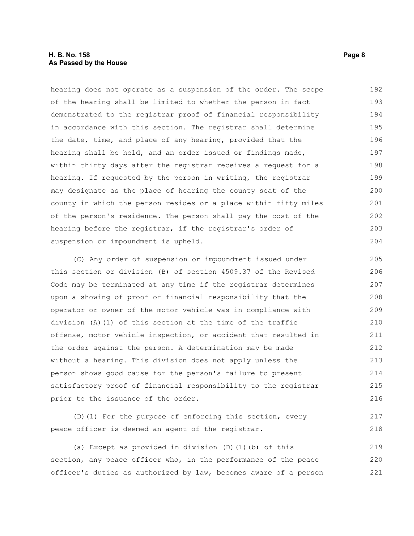### **H. B. No. 158 Page 8 As Passed by the House**

hearing does not operate as a suspension of the order. The scope of the hearing shall be limited to whether the person in fact demonstrated to the registrar proof of financial responsibility in accordance with this section. The registrar shall determine the date, time, and place of any hearing, provided that the hearing shall be held, and an order issued or findings made, within thirty days after the registrar receives a request for a hearing. If requested by the person in writing, the registrar may designate as the place of hearing the county seat of the county in which the person resides or a place within fifty miles of the person's residence. The person shall pay the cost of the hearing before the registrar, if the registrar's order of suspension or impoundment is upheld. 192 193 194 195 196 197 198 199 200 201 202 203 204

(C) Any order of suspension or impoundment issued under this section or division (B) of section 4509.37 of the Revised Code may be terminated at any time if the registrar determines upon a showing of proof of financial responsibility that the operator or owner of the motor vehicle was in compliance with division (A)(1) of this section at the time of the traffic offense, motor vehicle inspection, or accident that resulted in the order against the person. A determination may be made without a hearing. This division does not apply unless the person shows good cause for the person's failure to present satisfactory proof of financial responsibility to the registrar prior to the issuance of the order. 205 206 207 208 209 210 211 212 213 214 215 216

(D)(1) For the purpose of enforcing this section, every peace officer is deemed an agent of the registrar. 217 218

(a) Except as provided in division (D)(1)(b) of this section, any peace officer who, in the performance of the peace officer's duties as authorized by law, becomes aware of a person 219 220 221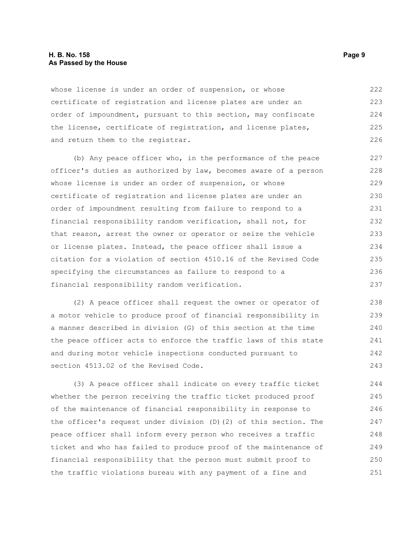#### **H. B. No. 158 Page 9 As Passed by the House**

whose license is under an order of suspension, or whose certificate of registration and license plates are under an order of impoundment, pursuant to this section, may confiscate the license, certificate of registration, and license plates, and return them to the registrar. 222 223 224 225 226

(b) Any peace officer who, in the performance of the peace officer's duties as authorized by law, becomes aware of a person whose license is under an order of suspension, or whose certificate of registration and license plates are under an order of impoundment resulting from failure to respond to a financial responsibility random verification, shall not, for that reason, arrest the owner or operator or seize the vehicle or license plates. Instead, the peace officer shall issue a citation for a violation of section 4510.16 of the Revised Code specifying the circumstances as failure to respond to a financial responsibility random verification. 227 228 229 230 231 232 233 234 235 236 237

(2) A peace officer shall request the owner or operator of a motor vehicle to produce proof of financial responsibility in a manner described in division (G) of this section at the time the peace officer acts to enforce the traffic laws of this state and during motor vehicle inspections conducted pursuant to section 4513.02 of the Revised Code. 238 239 240 241 242 243

(3) A peace officer shall indicate on every traffic ticket whether the person receiving the traffic ticket produced proof of the maintenance of financial responsibility in response to the officer's request under division (D)(2) of this section. The peace officer shall inform every person who receives a traffic ticket and who has failed to produce proof of the maintenance of financial responsibility that the person must submit proof to the traffic violations bureau with any payment of a fine and 244 245 246 247 248 249 250 251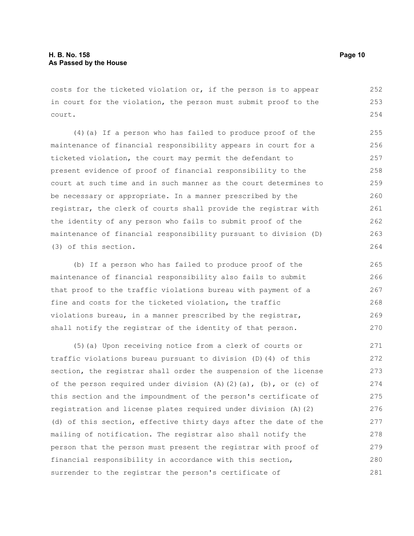costs for the ticketed violation or, if the person is to appear in court for the violation, the person must submit proof to the court. 252 253 254

(4)(a) If a person who has failed to produce proof of the maintenance of financial responsibility appears in court for a ticketed violation, the court may permit the defendant to present evidence of proof of financial responsibility to the court at such time and in such manner as the court determines to be necessary or appropriate. In a manner prescribed by the registrar, the clerk of courts shall provide the registrar with the identity of any person who fails to submit proof of the maintenance of financial responsibility pursuant to division (D) (3) of this section. 255 256 257 258 259 260 261 262 263 264

(b) If a person who has failed to produce proof of the maintenance of financial responsibility also fails to submit that proof to the traffic violations bureau with payment of a fine and costs for the ticketed violation, the traffic violations bureau, in a manner prescribed by the registrar, shall notify the registrar of the identity of that person. 265 266 267 268 269 270

(5)(a) Upon receiving notice from a clerk of courts or traffic violations bureau pursuant to division (D)(4) of this section, the registrar shall order the suspension of the license of the person required under division  $(A)$   $(2)$   $(a)$ ,  $(b)$ , or  $(c)$  of this section and the impoundment of the person's certificate of registration and license plates required under division (A)(2) (d) of this section, effective thirty days after the date of the mailing of notification. The registrar also shall notify the person that the person must present the registrar with proof of financial responsibility in accordance with this section, surrender to the registrar the person's certificate of 271 272 273 274 275 276 277 278 279 280 281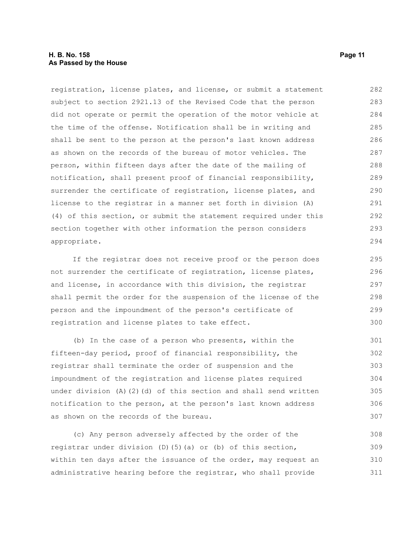registration, license plates, and license, or submit a statement subject to section 2921.13 of the Revised Code that the person did not operate or permit the operation of the motor vehicle at the time of the offense. Notification shall be in writing and shall be sent to the person at the person's last known address as shown on the records of the bureau of motor vehicles. The person, within fifteen days after the date of the mailing of notification, shall present proof of financial responsibility, surrender the certificate of registration, license plates, and license to the registrar in a manner set forth in division (A) (4) of this section, or submit the statement required under this section together with other information the person considers appropriate. 282 283 284 285 286 287 288 289 290 291 292 293 294

If the registrar does not receive proof or the person does not surrender the certificate of registration, license plates, and license, in accordance with this division, the registrar shall permit the order for the suspension of the license of the person and the impoundment of the person's certificate of registration and license plates to take effect.

(b) In the case of a person who presents, within the fifteen-day period, proof of financial responsibility, the registrar shall terminate the order of suspension and the impoundment of the registration and license plates required under division  $(A)$   $(2)$   $(d)$  of this section and shall send written notification to the person, at the person's last known address as shown on the records of the bureau. 301 302 303 304 305 306 307

(c) Any person adversely affected by the order of the registrar under division (D)(5)(a) or (b) of this section, within ten days after the issuance of the order, may request an administrative hearing before the registrar, who shall provide 308 309 310 311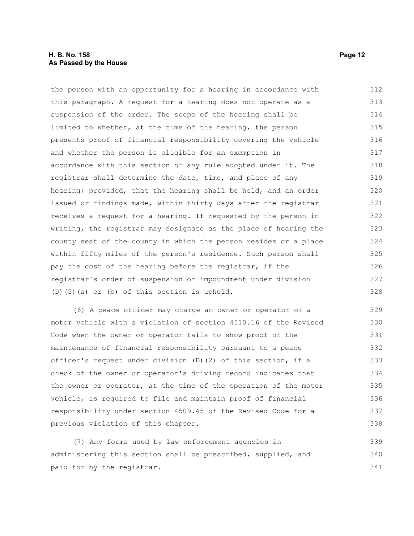#### **H. B. No. 158 Page 12 As Passed by the House**

the person with an opportunity for a hearing in accordance with this paragraph. A request for a hearing does not operate as a suspension of the order. The scope of the hearing shall be limited to whether, at the time of the hearing, the person presents proof of financial responsibility covering the vehicle and whether the person is eligible for an exemption in accordance with this section or any rule adopted under it. The registrar shall determine the date, time, and place of any hearing; provided, that the hearing shall be held, and an order issued or findings made, within thirty days after the registrar receives a request for a hearing. If requested by the person in writing, the registrar may designate as the place of hearing the county seat of the county in which the person resides or a place within fifty miles of the person's residence. Such person shall pay the cost of the hearing before the registrar, if the registrar's order of suspension or impoundment under division (D)(5)(a) or (b) of this section is upheld. 312 313 314 315 316 317 318 319 320 321 322 323 324 325 326 327 328

(6) A peace officer may charge an owner or operator of a motor vehicle with a violation of section 4510.16 of the Revised Code when the owner or operator fails to show proof of the maintenance of financial responsibility pursuant to a peace officer's request under division (D)(2) of this section, if a check of the owner or operator's driving record indicates that the owner or operator, at the time of the operation of the motor vehicle, is required to file and maintain proof of financial responsibility under section 4509.45 of the Revised Code for a previous violation of this chapter. 329 330 331 332 333 334 335 336 337 338

(7) Any forms used by law enforcement agencies in administering this section shall be prescribed, supplied, and paid for by the registrar. 339 340 341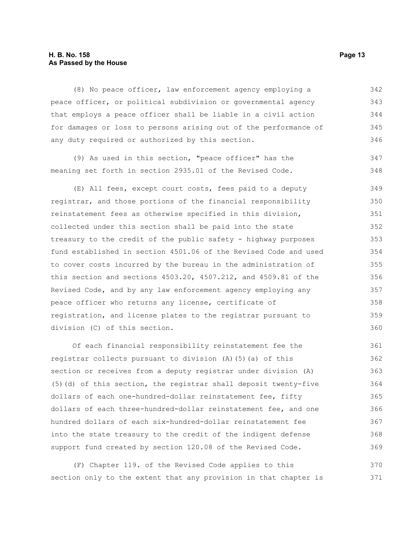### **H. B. No. 158 Page 13 As Passed by the House**

(8) No peace officer, law enforcement agency employing a peace officer, or political subdivision or governmental agency that employs a peace officer shall be liable in a civil action for damages or loss to persons arising out of the performance of any duty required or authorized by this section. 342 343 344 345 346

(9) As used in this section, "peace officer" has the meaning set forth in section 2935.01 of the Revised Code. 347 348

(E) All fees, except court costs, fees paid to a deputy registrar, and those portions of the financial responsibility reinstatement fees as otherwise specified in this division, collected under this section shall be paid into the state treasury to the credit of the public safety - highway purposes fund established in section 4501.06 of the Revised Code and used to cover costs incurred by the bureau in the administration of this section and sections 4503.20, 4507.212, and 4509.81 of the Revised Code, and by any law enforcement agency employing any peace officer who returns any license, certificate of registration, and license plates to the registrar pursuant to division (C) of this section. 349 350 351 352 353 354 355 356 357 358 359 360

Of each financial responsibility reinstatement fee the registrar collects pursuant to division (A)(5)(a) of this section or receives from a deputy registrar under division (A) (5)(d) of this section, the registrar shall deposit twenty-five dollars of each one-hundred-dollar reinstatement fee, fifty dollars of each three-hundred-dollar reinstatement fee, and one hundred dollars of each six-hundred-dollar reinstatement fee into the state treasury to the credit of the indigent defense support fund created by section 120.08 of the Revised Code. 361 362 363 364 365 366 367 368 369

(F) Chapter 119. of the Revised Code applies to this section only to the extent that any provision in that chapter is 370 371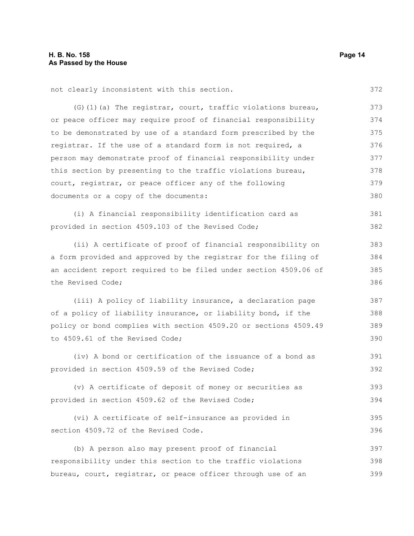not clearly inconsistent with this section. (G)(1)(a) The registrar, court, traffic violations bureau, or peace officer may require proof of financial responsibility to be demonstrated by use of a standard form prescribed by the registrar. If the use of a standard form is not required, a person may demonstrate proof of financial responsibility under this section by presenting to the traffic violations bureau, court, registrar, or peace officer any of the following documents or a copy of the documents: (i) A financial responsibility identification card as provided in section 4509.103 of the Revised Code; (ii) A certificate of proof of financial responsibility on a form provided and approved by the registrar for the filing of an accident report required to be filed under section 4509.06 of the Revised Code; (iii) A policy of liability insurance, a declaration page of a policy of liability insurance, or liability bond, if the policy or bond complies with section 4509.20 or sections 4509.49 to 4509.61 of the Revised Code; (iv) A bond or certification of the issuance of a bond as provided in section 4509.59 of the Revised Code; (v) A certificate of deposit of money or securities as provided in section 4509.62 of the Revised Code; (vi) A certificate of self-insurance as provided in section 4509.72 of the Revised Code. 372 373 374 375 376 377 378 379 380 381 382 383 384 385 386 387 388 389 390 391 392 393 394 395 396

(b) A person also may present proof of financial responsibility under this section to the traffic violations bureau, court, registrar, or peace officer through use of an 397 398 399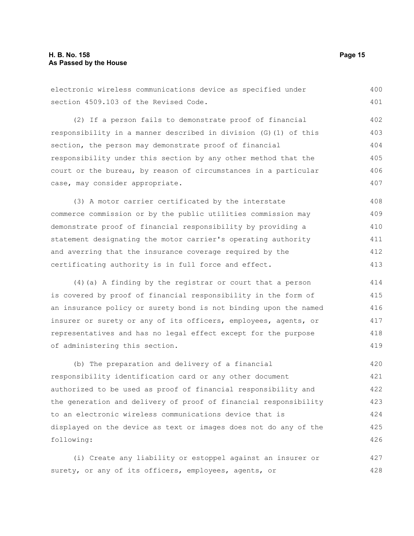electronic wireless communications device as specified under section 4509.103 of the Revised Code. 400 401

(2) If a person fails to demonstrate proof of financial responsibility in a manner described in division (G)(1) of this section, the person may demonstrate proof of financial responsibility under this section by any other method that the court or the bureau, by reason of circumstances in a particular case, may consider appropriate. 402 403 404 405 406 407

(3) A motor carrier certificated by the interstate commerce commission or by the public utilities commission may demonstrate proof of financial responsibility by providing a statement designating the motor carrier's operating authority and averring that the insurance coverage required by the certificating authority is in full force and effect. 408 409 410 411 412 413

(4)(a) A finding by the registrar or court that a person is covered by proof of financial responsibility in the form of an insurance policy or surety bond is not binding upon the named insurer or surety or any of its officers, employees, agents, or representatives and has no legal effect except for the purpose of administering this section. 414 415 416 417 418 419

(b) The preparation and delivery of a financial responsibility identification card or any other document authorized to be used as proof of financial responsibility and the generation and delivery of proof of financial responsibility to an electronic wireless communications device that is displayed on the device as text or images does not do any of the following: 420 421 422 423 424 425 426

(i) Create any liability or estoppel against an insurer or surety, or any of its officers, employees, agents, or 427 428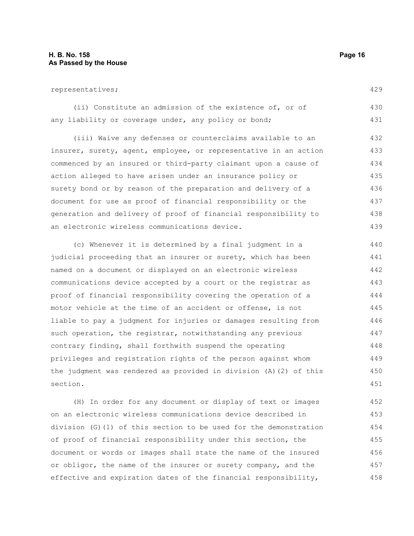#### representatives;

|  |  | (ii) Constitute an admission of the existence of, or of |  |  |  |  | 430 |
|--|--|---------------------------------------------------------|--|--|--|--|-----|
|  |  | any liability or coverage under, any policy or bond;    |  |  |  |  | 431 |

(iii) Waive any defenses or counterclaims available to an insurer, surety, agent, employee, or representative in an action commenced by an insured or third-party claimant upon a cause of action alleged to have arisen under an insurance policy or surety bond or by reason of the preparation and delivery of a document for use as proof of financial responsibility or the generation and delivery of proof of financial responsibility to an electronic wireless communications device. 432 433 434 435 436 437 438 439

(c) Whenever it is determined by a final judgment in a judicial proceeding that an insurer or surety, which has been named on a document or displayed on an electronic wireless communications device accepted by a court or the registrar as proof of financial responsibility covering the operation of a motor vehicle at the time of an accident or offense, is not liable to pay a judgment for injuries or damages resulting from such operation, the registrar, notwithstanding any previous contrary finding, shall forthwith suspend the operating privileges and registration rights of the person against whom the judgment was rendered as provided in division (A)(2) of this section. 440 441 442 443 444 445 446 447 448 449 450 451

(H) In order for any document or display of text or images on an electronic wireless communications device described in division (G)(1) of this section to be used for the demonstration of proof of financial responsibility under this section, the document or words or images shall state the name of the insured or obligor, the name of the insurer or surety company, and the effective and expiration dates of the financial responsibility, 452 453 454 455 456 457 458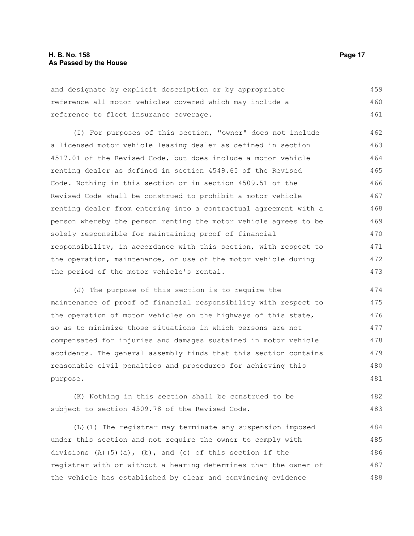and designate by explicit description or by appropriate reference all motor vehicles covered which may include a reference to fleet insurance coverage. 459 460 461

(I) For purposes of this section, "owner" does not include a licensed motor vehicle leasing dealer as defined in section 4517.01 of the Revised Code, but does include a motor vehicle renting dealer as defined in section 4549.65 of the Revised Code. Nothing in this section or in section 4509.51 of the Revised Code shall be construed to prohibit a motor vehicle renting dealer from entering into a contractual agreement with a person whereby the person renting the motor vehicle agrees to be solely responsible for maintaining proof of financial responsibility, in accordance with this section, with respect to the operation, maintenance, or use of the motor vehicle during the period of the motor vehicle's rental. 462 463 464 465 466 467 468 469 470 471 472 473

(J) The purpose of this section is to require the maintenance of proof of financial responsibility with respect to the operation of motor vehicles on the highways of this state, so as to minimize those situations in which persons are not compensated for injuries and damages sustained in motor vehicle accidents. The general assembly finds that this section contains reasonable civil penalties and procedures for achieving this purpose. 474 475 476 477 478 479 480 481

(K) Nothing in this section shall be construed to be subject to section 4509.78 of the Revised Code. 482 483

(L)(1) The registrar may terminate any suspension imposed under this section and not require the owner to comply with divisions  $(A)$  (5)(a), (b), and (c) of this section if the registrar with or without a hearing determines that the owner of the vehicle has established by clear and convincing evidence 484 485 486 487 488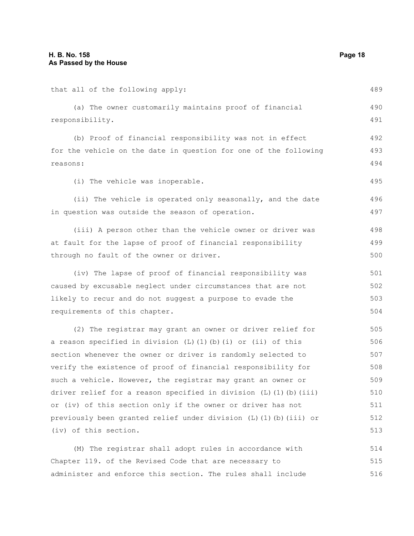that all of the following apply: (a) The owner customarily maintains proof of financial responsibility. (b) Proof of financial responsibility was not in effect for the vehicle on the date in question for one of the following reasons: (i) The vehicle was inoperable. (ii) The vehicle is operated only seasonally, and the date in question was outside the season of operation. (iii) A person other than the vehicle owner or driver was at fault for the lapse of proof of financial responsibility through no fault of the owner or driver. (iv) The lapse of proof of financial responsibility was caused by excusable neglect under circumstances that are not likely to recur and do not suggest a purpose to evade the requirements of this chapter. (2) The registrar may grant an owner or driver relief for a reason specified in division (L)(1)(b)(i) or (ii) of this section whenever the owner or driver is randomly selected to verify the existence of proof of financial responsibility for such a vehicle. However, the registrar may grant an owner or driver relief for a reason specified in division  $(L)$  (1)(b)(iii) or (iv) of this section only if the owner or driver has not previously been granted relief under division (L)(1)(b)(iii) or (iv) of this section. (M) The registrar shall adopt rules in accordance with 489 490 491 492 493 494 495 496 497 498 499 500 501 502 503 504 505 506 507 508 509 510 511 512 513 514

Chapter 119. of the Revised Code that are necessary to administer and enforce this section. The rules shall include 515 516